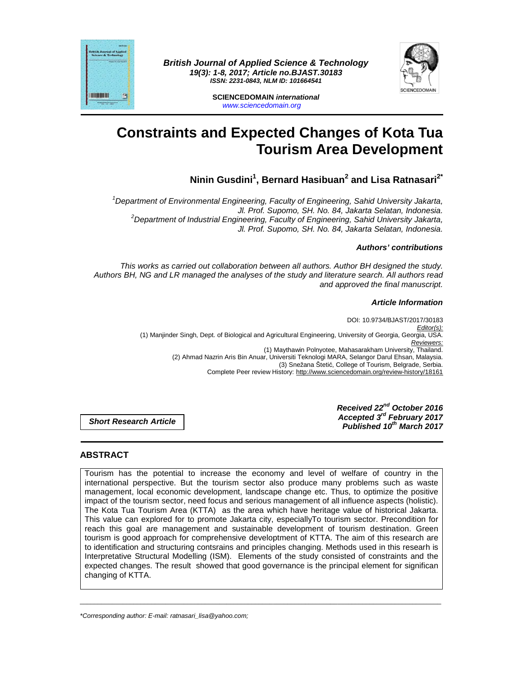



**SCIENCEDOMAIN international**  www.sciencedomain.org

# **Constraints and Expected Changes of Kota Tua Tourism Area Development**

# **Ninin Gusdini<sup>1</sup> , Bernard Hasibuan<sup>2</sup> and Lisa Ratnasari2\***

 $1$ Department of Environmental Engineering, Faculty of Engineering, Sahid University Jakarta, Jl. Prof. Supomo, SH. No. 84, Jakarta Selatan, Indonesia. <sup>2</sup>Department of Industrial Engineering, Faculty of Engineering, Sahid University Jakarta, Jl. Prof. Supomo, SH. No. 84, Jakarta Selatan, Indonesia.

# **Authors' contributions**

This works as carried out collaboration between all authors. Author BH designed the study. Authors BH, NG and LR managed the analyses of the study and literature search. All authors read and approved the final manuscript.

# **Article Information**

DOI: 10.9734/BJAST/2017/30183 Editor(s): (1) Manjinder Singh, Dept. of Biological and Agricultural Engineering, University of Georgia, Georgia, USA. Reviewers: (1) Maythawin Polnyotee, Mahasarakham University, Thailand. (2) Ahmad Nazrin Aris Bin Anuar, Universiti Teknologi MARA, Selangor Darul Ehsan, Malaysia. (3) Snežana Štetić, College of Tourism, Belgrade, Serbia. Complete Peer review History: http://www.sciencedomain.org/review-history/18161

**Short Research Article**

**Received 22nd October 2016 Accepted 3rd February 2017 Published 10th March 2017**

# **ABSTRACT**

**HITTING THE** 

Tourism has the potential to increase the economy and level of welfare of country in the international perspective. But the tourism sector also produce many problems such as waste management, local economic development, landscape change etc. Thus, to optimize the positive impact of the tourism sector, need focus and serious management of all influence aspects (holistic). The Kota Tua Tourism Area (KTTA) as the area which have heritage value of historical Jakarta. This value can explored for to promote Jakarta city, especiallyTo tourism sector. Precondition for reach this goal are management and sustainable development of tourism destination. Green tourism is good approach for comprehensive developtment of KTTA. The aim of this research are to identification and structuring contsrains and principles changing. Methods used in this researh is Interpretative Structural Modelling (ISM). Elements of the study consisted of constraints and the expected changes. The result showed that good governance is the principal element for significan changing of KTTA.

\_\_\_\_\_\_\_\_\_\_\_\_\_\_\_\_\_\_\_\_\_\_\_\_\_\_\_\_\_\_\_\_\_\_\_\_\_\_\_\_\_\_\_\_\_\_\_\_\_\_\_\_\_\_\_\_\_\_\_\_\_\_\_\_\_\_\_\_\_\_\_\_\_\_\_\_\_\_\_\_\_\_\_\_\_\_\_\_\_\_\_\_\_\_\_\_\_\_\_\_\_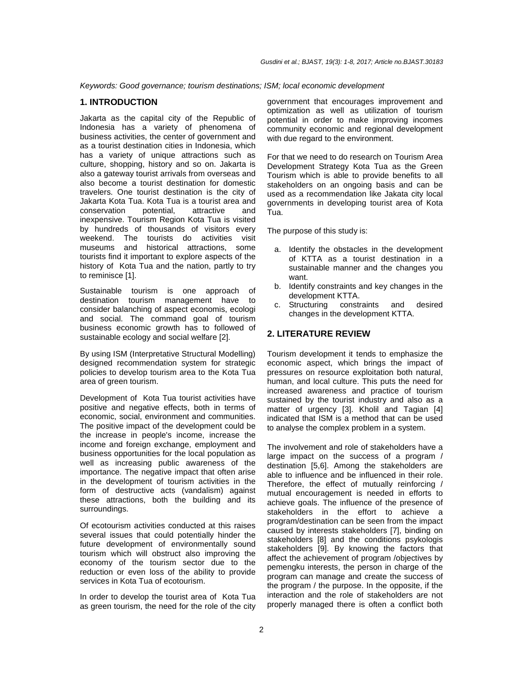Keywords: Good governance; tourism destinations; ISM; local economic development

#### **1. INTRODUCTION**

Jakarta as the capital city of the Republic of Indonesia has a variety of phenomena of business activities, the center of government and as a tourist destination cities in Indonesia, which has a variety of unique attractions such as culture, shopping, history and so on. Jakarta is also a gateway tourist arrivals from overseas and also become a tourist destination for domestic travelers. One tourist destination is the city of Jakarta Kota Tua. Kota Tua is a tourist area and conservation potential, attractive and inexpensive. Tourism Region Kota Tua is visited by hundreds of thousands of visitors every weekend. The tourists do activities visit museums and historical attractions, some tourists find it important to explore aspects of the history of Kota Tua and the nation, partly to try to reminisce [1].

Sustainable tourism is one approach of destination tourism management have to consider balanching of aspect economis, ecologi and social. The command goal of tourism business economic growth has to followed of sustainable ecology and social welfare [2].

By using ISM (Interpretative Structural Modelling) designed recommendation system for strategic policies to develop tourism area to the Kota Tua area of green tourism.

Development of Kota Tua tourist activities have positive and negative effects, both in terms of economic, social, environment and communities. The positive impact of the development could be the increase in people's income, increase the income and foreign exchange, employment and business opportunities for the local population as well as increasing public awareness of the importance. The negative impact that often arise in the development of tourism activities in the form of destructive acts (vandalism) against these attractions, both the building and its surroundings.

Of ecotourism activities conducted at this raises several issues that could potentially hinder the future development of environmentally sound tourism which will obstruct also improving the economy of the tourism sector due to the reduction or even loss of the ability to provide services in Kota Tua of ecotourism.

In order to develop the tourist area of Kota Tua as green tourism, the need for the role of the city government that encourages improvement and optimization as well as utilization of tourism potential in order to make improving incomes community economic and regional development with due regard to the environment.

For that we need to do research on Tourism Area Development Strategy Kota Tua as the Green Tourism which is able to provide benefits to all stakeholders on an ongoing basis and can be used as a recommendation like Jakata city local governments in developing tourist area of Kota Tua.

The purpose of this study is:

- a. Identify the obstacles in the development of KTTA as a tourist destination in a sustainable manner and the changes you want.
- b. Identify constraints and key changes in the development KTTA.
- c. Structuring constraints and desired changes in the development KTTA.

# **2. LITERATURE REVIEW**

Tourism development it tends to emphasize the economic aspect, which brings the impact of pressures on resource exploitation both natural, human, and local culture. This puts the need for increased awareness and practice of tourism sustained by the tourist industry and also as a matter of urgency [3]. Kholil and Tagian [4] indicated that ISM is a method that can be used to analyse the complex problem in a system.

The involvement and role of stakeholders have a large impact on the success of a program / destination [5,6]. Among the stakeholders are able to influence and be influenced in their role. Therefore, the effect of mutually reinforcing / mutual encouragement is needed in efforts to achieve goals. The influence of the presence of stakeholders in the effort to achieve a program/destination can be seen from the impact caused by interests stakeholders [7], binding on stakeholders [8] and the conditions psykologis stakeholders [9]. By knowing the factors that affect the achievement of program /objectives by pemengku interests, the person in charge of the program can manage and create the success of the program / the purpose. In the opposite, if the interaction and the role of stakeholders are not properly managed there is often a conflict both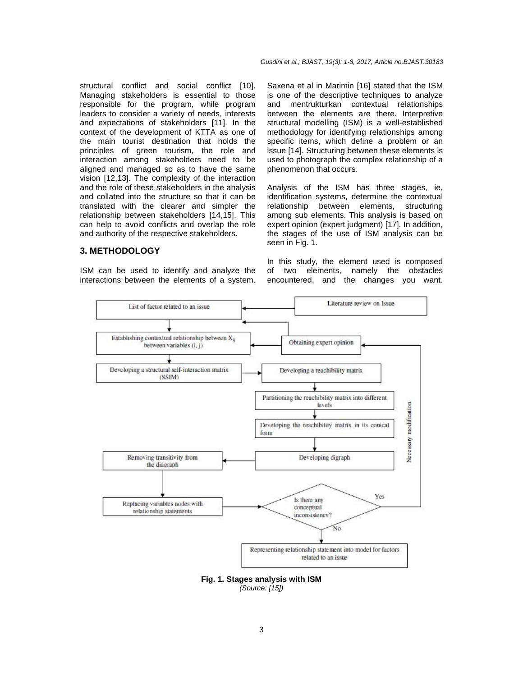structural conflict and social conflict [10]. Managing stakeholders is essential to those responsible for the program, while program leaders to consider a variety of needs, interests and expectations of stakeholders [11]. In the context of the development of KTTA as one of the main tourist destination that holds the principles of green tourism, the role and interaction among stakeholders need to be aligned and managed so as to have the same vision [12,13]. The complexity of the interaction and the role of these stakeholders in the analysis and collated into the structure so that it can be translated with the clearer and simpler the relationship between stakeholders [14,15]. This can help to avoid conflicts and overlap the role and authority of the respective stakeholders.

#### **3. METHODOLOGY**

ISM can be used to identify and analyze the interactions between the elements of a system. Saxena et al in Marimin [16] stated that the ISM is one of the descriptive techniques to analyze and mentrukturkan contextual relationships between the elements are there. Interpretive structural modelling (ISM) is a well-established methodology for identifying relationships among specific items, which define a problem or an issue [14]. Structuring between these elements is used to photograph the complex relationship of a phenomenon that occurs.

Analysis of the ISM has three stages, ie, identification systems, determine the contextual relationship between elements, structuring among sub elements. This analysis is based on expert opinion (expert judgment) [17]. In addition, the stages of the use of ISM analysis can be seen in Fig. 1.

In this study, the element used is composed of two elements, namely the obstacles encountered, and the changes you want.



**Fig. 1. Stages analysis with ISM**  (Source: [15])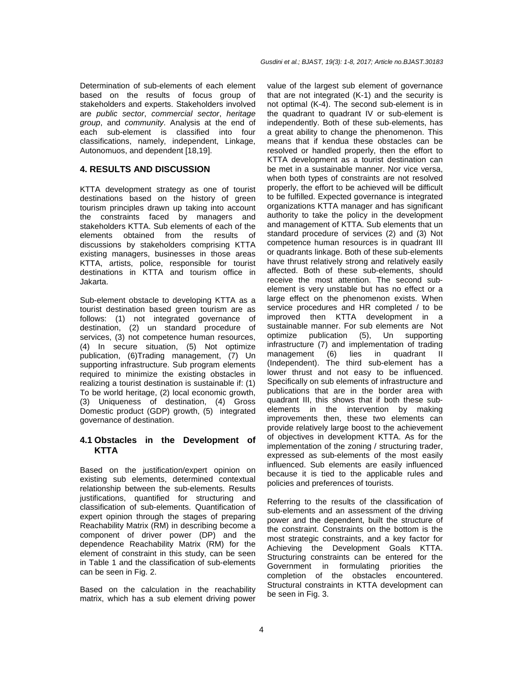Determination of sub-elements of each element based on the results of focus group of stakeholders and experts. Stakeholders involved are public sector, commercial sector, heritage group, and community. Analysis at the end of each sub-element is classified into four classifications, namely, independent, Linkage, Autonomuos, and dependent [18,19].

# **4. RESULTS AND DISCUSSION**

KTTA development strategy as one of tourist destinations based on the history of green tourism principles drawn up taking into account the constraints faced by managers and stakeholders KTTA. Sub elements of each of the elements obtained from the results of discussions by stakeholders comprising KTTA existing managers, businesses in those areas KTTA, artists, police, responsible for tourist destinations in KTTA and tourism office in Jakarta.

Sub-element obstacle to developing KTTA as a tourist destination based green tourism are as follows: (1) not integrated governance of destination, (2) un standard procedure of services, (3) not competence human resources, (4) In secure situation, (5) Not optimize publication, (6)Trading management, (7) Un supporting infrastructure. Sub program elements required to minimize the existing obstacles in realizing a tourist destination is sustainable if: (1) To be world heritage, (2) local economic growth, (3) Uniqueness of destination, (4) Gross Domestic product (GDP) growth, (5) integrated governance of destination.

# **4.1 Obstacles in the Development of KTTA**

Based on the justification/expert opinion on existing sub elements, determined contextual relationship between the sub-elements. Results justifications, quantified for structuring and classification of sub-elements. Quantification of expert opinion through the stages of preparing Reachability Matrix (RM) in describing become a component of driver power (DP) and the dependence Reachability Matrix (RM) for the element of constraint in this study, can be seen in Table 1 and the classification of sub-elements can be seen in Fig. 2.

Based on the calculation in the reachability matrix, which has a sub element driving power value of the largest sub element of governance that are not integrated (K-1) and the security is not optimal (K-4). The second sub-element is in the quadrant to quadrant IV or sub-element is independently. Both of these sub-elements, has a great ability to change the phenomenon. This means that if kendua these obstacles can be resolved or handled properly, then the effort to KTTA development as a tourist destination can be met in a sustainable manner. Nor vice versa, when both types of constraints are not resolved properly, the effort to be achieved will be difficult to be fulfilled. Expected governance is integrated organizations KTTA manager and has significant authority to take the policy in the development and management of KTTA. Sub elements that un standard procedure of services (2) and (3) Not competence human resources is in quadrant III or quadrants linkage. Both of these sub-elements have thrust relatively strong and relatively easily affected. Both of these sub-elements, should receive the most attention. The second subelement is very unstable but has no effect or a large effect on the phenomenon exists. When service procedures and HR completed / to be improved then KTTA development in a sustainable manner. For sub elements are Not optimize publication (5), Un supporting infrastructure (7) and implementation of trading management (6) lies in quadrant II (Independent). The third sub-element has a lower thrust and not easy to be influenced. Specifically on sub elements of infrastructure and publications that are in the border area with quadrant III, this shows that if both these subelements in the intervention by making improvements then, these two elements can provide relatively large boost to the achievement of objectives in development KTTA. As for the implementation of the zoning / structuring trader, expressed as sub-elements of the most easily influenced. Sub elements are easily influenced because it is tied to the applicable rules and policies and preferences of tourists.

Referring to the results of the classification of sub-elements and an assessment of the driving power and the dependent, built the structure of the constraint. Constraints on the bottom is the most strategic constraints, and a key factor for Achieving the Development Goals KTTA. Structuring constraints can be entered for the Government in formulating priorities the completion of the obstacles encountered. Structural constraints in KTTA development can be seen in Fig. 3.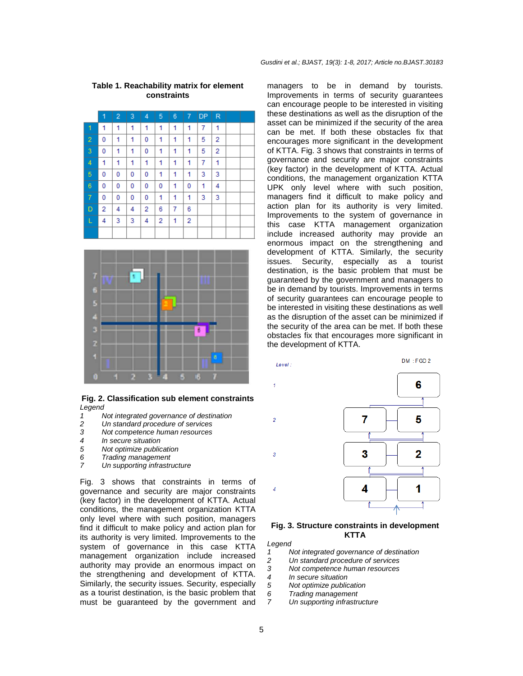|                | 1 | $\overline{2}$ | 3 | 4 | 5 | 6 | 7 | <b>DP</b>      | $\mathsf R$ |  |
|----------------|---|----------------|---|---|---|---|---|----------------|-------------|--|
| $\mathbf{1}$   | 1 | 1              | 1 | 1 | 1 | 1 | 1 | $\overline{7}$ | 1           |  |
| $\overline{2}$ | 0 | 1              | 1 | 0 | 1 | 1 | 1 | 5              | 2           |  |
| 3              | 0 | 1              | 1 | 0 | 1 | 1 | 1 | 5              | 2           |  |
| 4              | 1 | 1              | 1 | 1 | 1 | 1 | 1 | 7              | 1           |  |
| 5              | 0 | 0              | 0 | 0 | 1 | 1 | 1 | 3              | 3           |  |
| 6              | 0 | 0              | 0 | 0 | 0 | 1 | 0 | 1              | 4           |  |
| 7              | 0 | 0              | 0 | 0 | 1 | 1 | 1 | 3              | 3           |  |
| D              | 2 | 4              | 4 | 2 | 6 | 7 | 6 |                |             |  |
| L              | 4 | 3              | 3 | 4 | 2 | 1 | 2 |                |             |  |
|                |   |                |   |   |   |   |   |                |             |  |

#### **Table 1. Reachability matrix for element constraints**



#### **Fig. 2. Classification sub element constraints**  Legend

- 1 Not integrated governance of destination<br>2 Un standard procedure of services
- 2 Un standard procedure of services<br>3 Not competence human resources
- 3 Not competence human resources<br>4 In secure situation
- 4 In secure situation<br>5 Not optimize public
- Not optimize publication
- 6 Trading management<br>7 In supporting infrastri
- Un supporting infrastructure

Fig. 3 shows that constraints in terms of governance and security are major constraints (key factor) in the development of KTTA. Actual conditions, the management organization KTTA only level where with such position, managers find it difficult to make policy and action plan for its authority is very limited. Improvements to the system of governance in this case KTTA management organization include increased authority may provide an enormous impact on the strengthening and development of KTTA. Similarly, the security issues. Security, especially as a tourist destination, is the basic problem that must be guaranteed by the government and

managers to be in demand by tourists. Improvements in terms of security guarantees can encourage people to be interested in visiting these destinations as well as the disruption of the asset can be minimized if the security of the area can be met. If both these obstacles fix that encourages more significant in the development of KTTA. Fig. 3 shows that constraints in terms of governance and security are major constraints (key factor) in the development of KTTA. Actual conditions, the management organization KTTA UPK only level where with such position, managers find it difficult to make policy and action plan for its authority is very limited. Improvements to the system of governance in this case KTTA management organization include increased authority may provide an enormous impact on the strengthening and development of KTTA. Similarly, the security issues. Security, especially as a tourist destination, is the basic problem that must be guaranteed by the government and managers to be in demand by tourists. Improvements in terms of security guarantees can encourage people to be interested in visiting these destinations as well as the disruption of the asset can be minimized if the security of the area can be met. If both these obstacles fix that encourages more significant in the development of KTTA.



#### **Fig. 3. Structure constraints in development KTTA**

Legend

- 1 Not integrated governance of destination
- 2 Un standard procedure of services<br>3 Not competence human resources
- 3 Not competence human resources<br>4 In secure situation
- In secure situation
- 5 Not optimize publication
- 6 Trading management
- 7 Un supporting infrastructure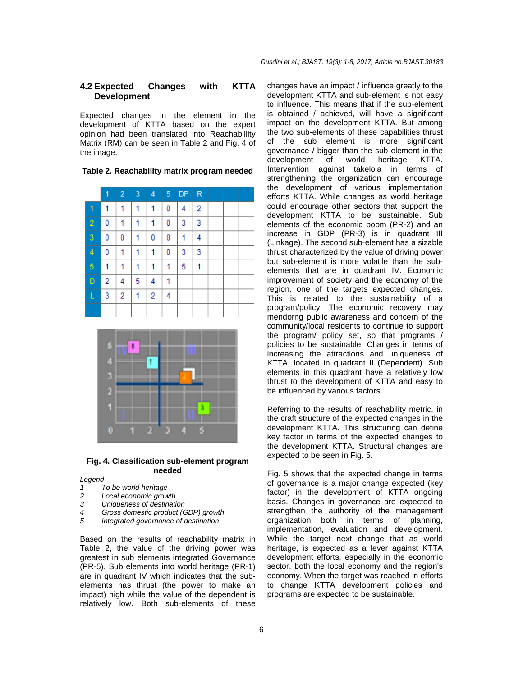# **4.2 Expected Changes with KTTA Development**

Expected changes in the element in the development of KTTA based on the expert opinion had been translated into Reachabillity Matrix (RM) can be seen in Table 2 and Fig. 4 of the image.

**Table 2. Reachability matrix program needed** 

|                | 1 | $\overline{2}$ | $\overline{3}$ | 4 | 5 | <b>DP</b> | R |  |  |
|----------------|---|----------------|----------------|---|---|-----------|---|--|--|
| 1              | 1 | 1              | 1              | 1 | 0 | 4         | 2 |  |  |
| $\overline{c}$ | 0 | 1              | 1              | 1 | 0 | 3         | 3 |  |  |
| 3              | 0 | 0              | 1              | 0 | 0 | 1         | 4 |  |  |
| 4              | 0 | 1              | 1              | 1 | 0 | 3         | 3 |  |  |
| 5              | 1 | 1              | 1              | 1 | 1 | 5         | 1 |  |  |
| D              | 2 | 4              | 5              | 4 | 1 |           |   |  |  |
| L              | 3 | 2              | 1              | 2 | 4 |           |   |  |  |
|                |   |                |                |   |   |           |   |  |  |



#### **Fig. 4. Classification sub-element program needed**

Legend

- 1 To be world heritage
- 2 Local economic growth
- 3 Uniqueness of destination
- 4 Gross domestic product (GDP) growth<br>5 Integrated governance of destination
- Integrated governance of destination

Based on the results of reachability matrix in Table 2, the value of the driving power was greatest in sub elements integrated Governance (PR-5). Sub elements into world heritage (PR-1) are in quadrant IV which indicates that the subelements has thrust (the power to make an impact) high while the value of the dependent is relatively low. Both sub-elements of these

changes have an impact / influence greatly to the development KTTA and sub-element is not easy to influence. This means that if the sub-element is obtained / achieved, will have a significant impact on the development KTTA. But among the two sub-elements of these capabilities thrust of the sub element is more significant governance / bigger than the sub element in the development of world heritage KTTA. Intervention against takelola in terms of strengthening the organization can encourage the development of various implementation efforts KTTA. While changes as world heritage could encourage other sectors that support the development KTTA to be sustainable. Sub elements of the economic boom (PR-2) and an increase in GDP (PR-3) is in quadrant III (Linkage). The second sub-element has a sizable thrust characterized by the value of driving power but sub-element is more volatile than the subelements that are in quadrant IV. Economic improvement of society and the economy of the region, one of the targets expected changes. This is related to the sustainability of a program/policy. The economic recovery may mendorng public awareness and concern of the community/local residents to continue to support the program/ policy set, so that programs / policies to be sustainable. Changes in terms of increasing the attractions and uniqueness of KTTA, located in quadrant II (Dependent). Sub elements in this quadrant have a relatively low thrust to the development of KTTA and easy to be influenced by various factors.

Referring to the results of reachability metric, in the craft structure of the expected changes in the development KTTA. This structuring can define key factor in terms of the expected changes to the development KTTA. Structural changes are expected to be seen in Fig. 5.

Fig. 5 shows that the expected change in terms of governance is a major change expected (key factor) in the development of KTTA ongoing basis. Changes in governance are expected to strengthen the authority of the management organization both in terms of planning, implementation, evaluation and development. While the target next change that as world heritage, is expected as a lever against KTTA development efforts, especially in the economic sector, both the local economy and the region's economy. When the target was reached in efforts to change KTTA development policies and programs are expected to be sustainable.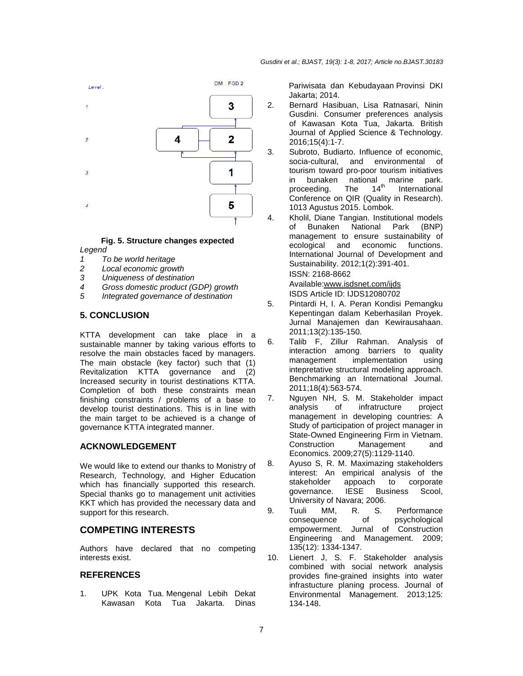

#### **Fig. 5. Structure changes expected**  Legend

- 1 To be world heritage
- 
- 2 Local economic growth<br>3 Uniqueness of destination Uniqueness of destination
- 
- 4 Gross domestic product (GDP) growth<br>5 Integrated governance of destination Integrated governance of destination

# **5. CONCLUSION**

KTTA development can take place in a sustainable manner by taking various efforts to resolve the main obstacles faced by managers. The main obstacle (key factor) such that (1) Revitalization KTTA governance and (2) Increased security in tourist destinations KTTA. Completion of both these constraints mean finishing constraints / problems of a base to develop tourist destinations. This is in line with the main target to be achieved is a change of governance KTTA integrated manner.

# **ACKNOWLEDGEMENT**

We would like to extend our thanks to Monistry of Research, Technology, and Higher Education which has financially supported this research. Special thanks go to management unit activities KKT which has provided the necessary data and support for this research.

# **COMPETING INTERESTS**

Authors have declared that no competing interests exist.

#### **REFERENCES**

1. UPK Kota Tua. Mengenal Lebih Dekat Kawasan Kota Tua Jakarta. Dinas Pariwisata dan Kebudayaan Provinsi DKI Jakarta; 2014.

- 2. Bernard Hasibuan, Lisa Ratnasari, Ninin Gusdini. Consumer preferences analysis of Kawasan Kota Tua, Jakarta. British Journal of Applied Science & Technology. 2016;15(4):1-7.
- 3. Subroto, Budiarto. Influence of economic, socia-cultural, and environmental of tourism toward pro-poor tourism initiatives in bunaken national marine park.<br>proceeding. The  $14<sup>th</sup>$  International proceeding. The  $14<sup>th</sup>$  International Conference on QIR (Quality in Research). 1013 Agustus 2015. Lombok.
- 4. Kholil, Diane Tangian. Institutional models of Bunaken National Park (BNP) management to ensure sustainability of ecological and economic functions. International Journal of Development and Sustainability. 2012;1(2):391-401. ISSN: 2168-8662

Available:www.isdsnet.com/ijds ISDS Article ID: IJDS12080702

- 5. Pintardi H, I. A. Peran Kondisi Pemangku Kepentingan dalam Keberhasilan Proyek. Jurnal Manajemen dan Kewirausahaan. 2011;13(2):135-150.
- 6. Talib F, Zillur Rahman. Analysis of interaction among barriers to quality management implementation using intepretative structural modeling approach. Benchmarking an International Journal. 2011;18(4):563-574.
- 7. Nguyen NH, S. M. Stakeholder impact analysis of infratructure project management in developing countries: A Study of participation of project manager in State-Owned Engineering Firm in Vietnam. Construction Management and Economics. 2009;27(5):1129-1140.
- 8. Ayuso S, R. M. Maximazing stakeholders interest: An empirical analysis of the stakeholder appoach to corporate governance. IESE Business Scool, University of Navara; 2006.
- 9. Tuuli MM, R. S. Performance consequence of psychological empowerment. Jurnal of Construction Engineering and Management. 2009; 135(12): 1334-1347.
- 10. Lienert J, S. F. Stakeholder analysis combined with social network analysis provides fine-grained insights into water infrastucture planing process. Journal of Environmental Management. 2013;125: 134-148.